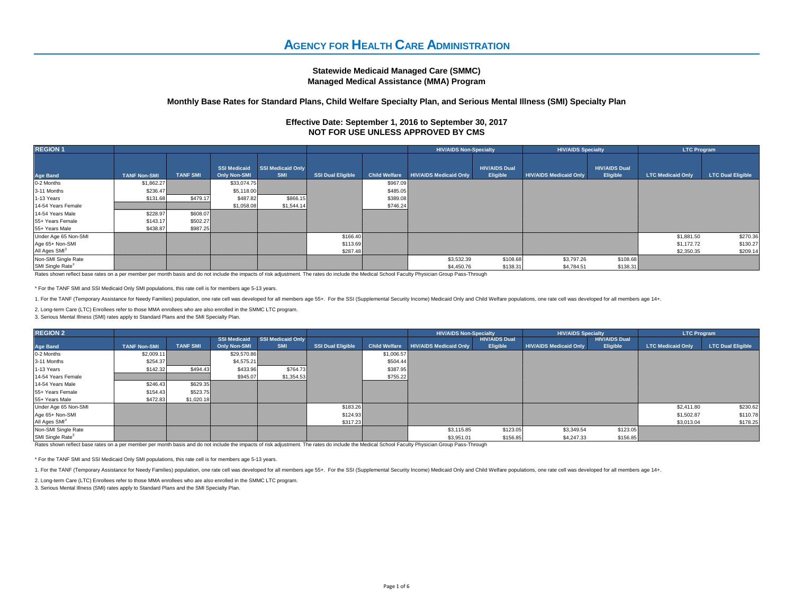## **Statewide Medicaid Managed Care (SMMC) Managed Medical Assistance (MMA) Program**

## **Monthly Base Rates for Standard Plans, Child Welfare Specialty Plan, and Serious Mental Illness (SMI) Specialty Plan**

## **Effective Date: September 1, 2016 to September 30, 2017 NOT FOR USE UNLESS APPROVED BY CMS**

| <b>REGION 1</b>              |                     |                 |                                     |                                 |                          | <b>HIV/AIDS Non-Specialty</b> |                               | <b>HIV/AIDS Specialty</b>        |                               | <b>LTC Program</b>               |                          |                          |
|------------------------------|---------------------|-----------------|-------------------------------------|---------------------------------|--------------------------|-------------------------------|-------------------------------|----------------------------------|-------------------------------|----------------------------------|--------------------------|--------------------------|
| <b>Age Band</b>              | <b>TANF Non-SMI</b> | <b>TANF SMI</b> | <b>SSI Medicaid</b><br>Only Non-SMI | <b>SSI Medicaid Only</b><br>SMI | <b>SSI Dual Eligible</b> | <b>Child Welfare</b>          | <b>HIV/AIDS Medicaid Only</b> | <b>HIV/AIDS Dual</b><br>Eligible | <b>HIV/AIDS Medicaid Only</b> | <b>HIV/AIDS Dual</b><br>Eligible | <b>LTC Medicaid Only</b> | <b>LTC Dual Eligible</b> |
| 0-2 Months                   | \$1,862.27          |                 | \$33,074.75                         |                                 |                          | \$967.09                      |                               |                                  |                               |                                  |                          |                          |
| 3-11 Months                  | \$236.47            |                 | \$5,118.00                          |                                 |                          | \$485.05                      |                               |                                  |                               |                                  |                          |                          |
| 1-13 Years                   | \$131.68            | \$479.17        | \$487.82                            | \$866.15                        |                          | \$389.08                      |                               |                                  |                               |                                  |                          |                          |
| 14-54 Years Female           |                     |                 | \$1,058.08                          | \$1,544.14                      |                          | \$746.24                      |                               |                                  |                               |                                  |                          |                          |
| 14-54 Years Male             | \$228.97            | \$608.07        |                                     |                                 |                          |                               |                               |                                  |                               |                                  |                          |                          |
| 55+ Years Female             | \$143.17            | \$502.27        |                                     |                                 |                          |                               |                               |                                  |                               |                                  |                          |                          |
| 55+ Years Male               | \$438.87            | \$987.25        |                                     |                                 |                          |                               |                               |                                  |                               |                                  |                          |                          |
| Under Age 65 Non-SMI         |                     |                 |                                     |                                 | \$166.40                 |                               |                               |                                  |                               |                                  | \$1,881.50               | \$270.36                 |
| Age 65+ Non-SMI              |                     |                 |                                     |                                 | \$113.69                 |                               |                               |                                  |                               |                                  | \$1,172.72               | \$130.27                 |
| All Ages SMI <sup>3</sup>    |                     |                 |                                     |                                 | \$287.48                 |                               |                               |                                  |                               |                                  | \$2,350.35               | \$209.14                 |
| Non-SMI Single Rate          |                     |                 |                                     |                                 |                          |                               | \$3,532.39                    | \$108.68                         | \$3,797.26                    | \$108.68                         |                          |                          |
| SMI Single Rate <sup>3</sup> |                     |                 |                                     |                                 |                          |                               | \$4,450.76                    | \$138.31                         | \$4,784.51                    | \$138.31                         |                          |                          |

Rates shown reflect base rates on a per member per month basis and do not include the impacts of risk adjustment. The rates do include the Medical School Faculty Physician Group Pass-Through

\* For the TANF SMI and SSI Medicaid Only SMI populations, this rate cell is for members age 5-13 years.

1. For the TANF (Temporary Assistance for Needy Families) population, one rate cell was developed for all members age 55+. For the SSI (Supplemental Security Income) Medicaid Only and Child Welfare populations, one rate ce

2. Long-term Care (LTC) Enrollees refer to those MMA enrollees who are also enrolled in the SMMC LTC program.

3. Serious Mental Illness (SMI) rates apply to Standard Plans and the SMI Specialty Plan.

| <b>REGION 2</b>              |                     |                 |                     |                   |                          |                      | <b>HIV/AIDS Non-Specialty</b> |                      | <b>HIV/AIDS Specialty</b>     |                      | <b>LTC Program</b>       |                          |
|------------------------------|---------------------|-----------------|---------------------|-------------------|--------------------------|----------------------|-------------------------------|----------------------|-------------------------------|----------------------|--------------------------|--------------------------|
|                              |                     |                 | <b>SSI Medicaid</b> | SSI Medicaid Only |                          |                      |                               | <b>HIV/AIDS Dual</b> |                               | <b>HIV/AIDS Dual</b> |                          |                          |
| <b>Age Band</b>              | <b>TANF Non-SMI</b> | <b>TANF SMI</b> | Only Non-SMI        | <b>SMI</b>        | <b>SSI Dual Eligible</b> | <b>Child Welfare</b> | <b>HIV/AIDS Medicaid Only</b> | Eligible             | <b>HIV/AIDS Medicaid Only</b> | <b>Eligible</b>      | <b>LTC Medicaid Only</b> | <b>LTC Dual Eligible</b> |
| 0-2 Months                   | \$2,009.11          |                 | \$29,570.86         |                   |                          | \$1,006.57           |                               |                      |                               |                      |                          |                          |
| 3-11 Months                  | \$254.37            |                 | \$4,575.21          |                   |                          | \$504.44             |                               |                      |                               |                      |                          |                          |
| 1-13 Years                   | \$142.32            | \$494.43        | \$433.96            | \$764.73          |                          | \$387.95             |                               |                      |                               |                      |                          |                          |
| 14-54 Years Female           |                     |                 | \$945.07            | \$1,354.53        |                          | \$755.22             |                               |                      |                               |                      |                          |                          |
| 14-54 Years Male             | \$246.43            | \$629.35        |                     |                   |                          |                      |                               |                      |                               |                      |                          |                          |
| 55+ Years Female             | \$154.43            | \$523.75        |                     |                   |                          |                      |                               |                      |                               |                      |                          |                          |
| 55+ Years Male               | \$472.83            | \$1,020.18      |                     |                   |                          |                      |                               |                      |                               |                      |                          |                          |
| Under Age 65 Non-SMI         |                     |                 |                     |                   | \$183.26                 |                      |                               |                      |                               |                      | \$2,411.80               | \$230.62                 |
| Age 65+ Non-SMI              |                     |                 |                     |                   | \$124.93                 |                      |                               |                      |                               |                      | \$1,502.87               | \$110.78                 |
| All Ages SMI <sup>3</sup>    |                     |                 |                     |                   | \$317.23                 |                      |                               |                      |                               |                      | \$3,013.04               | \$178.25                 |
| Non-SMI Single Rate          |                     |                 |                     |                   |                          |                      | \$3,115.85                    | \$123.05             | \$3,349.54                    | \$123.05             |                          |                          |
| SMI Single Rate <sup>3</sup> |                     |                 |                     |                   |                          |                      | \$3,951.01                    | \$156.85             | \$4,247,33                    | \$156.85             |                          |                          |

Rates shown reflect base rates on a per member per month basis and do not include the impacts of risk adjustment. The rates do include the Medical School Faculty Physician Group Pass-Through

\* For the TANF SMI and SSI Medicaid Only SMI populations, this rate cell is for members age 5-13 years.

1. For the TANF (Temporary Assistance for Needy Families) population, one rate cell was developed for all members age 55+. For the SSI (Supplemental Security Income) Medicaid Only and Child Welfare populations, one rate ce

2. Long-term Care (LTC) Enrollees refer to those MMA enrollees who are also enrolled in the SMMC LTC program.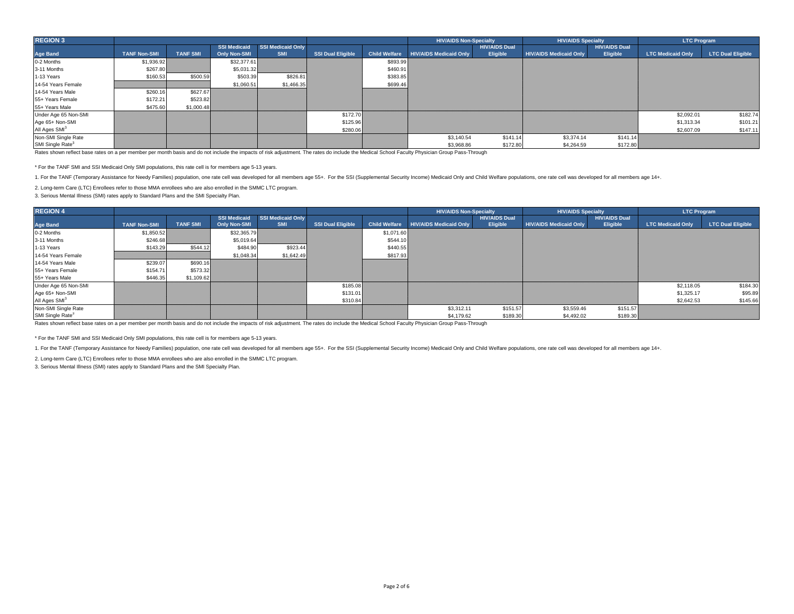| <b>REGION 3</b>              |                     |                 |                                     |                                 |                   |                      | <b>HIV/AIDS Non-Specialty</b> |                                  | <b>HIV/AIDS Specialty</b>     |                                  | <b>LTC Program</b>       |                          |
|------------------------------|---------------------|-----------------|-------------------------------------|---------------------------------|-------------------|----------------------|-------------------------------|----------------------------------|-------------------------------|----------------------------------|--------------------------|--------------------------|
| <b>Age Band</b>              | <b>TANF Non-SMI</b> | <b>TANF SMI</b> | <b>SSI Medicaid</b><br>Only Non-SMI | <b>SSI Medicaid Only</b><br>SMI | SSI Dual Eligible | <b>Child Welfare</b> | <b>HIV/AIDS Medicaid Only</b> | <b>HIV/AIDS Dual</b><br>Eligible | <b>HIV/AIDS Medicaid Only</b> | <b>HIV/AIDS Dual</b><br>Eligible | <b>LTC Medicaid Only</b> | <b>LTC Dual Eligible</b> |
| 0-2 Months                   | \$1,936.92          |                 | \$32,377.61                         |                                 |                   | \$893.99             |                               |                                  |                               |                                  |                          |                          |
| 3-11 Months                  | \$267.80            |                 | \$5,031.32                          |                                 |                   | \$460.91             |                               |                                  |                               |                                  |                          |                          |
| 1-13 Years                   | \$160.53            | \$500.59        | \$503.39                            | \$826.81                        |                   | \$383.85             |                               |                                  |                               |                                  |                          |                          |
| 14-54 Years Female           |                     |                 | \$1,060.51                          | \$1,466.35                      |                   | \$699.46             |                               |                                  |                               |                                  |                          |                          |
| 14-54 Years Male             | \$260.16            | \$627.67        |                                     |                                 |                   |                      |                               |                                  |                               |                                  |                          |                          |
| 55+ Years Female             | \$172.21            | \$523.82        |                                     |                                 |                   |                      |                               |                                  |                               |                                  |                          |                          |
| 55+ Years Male               | \$475.60            | \$1,000.48      |                                     |                                 |                   |                      |                               |                                  |                               |                                  |                          |                          |
| Under Age 65 Non-SMI         |                     |                 |                                     |                                 | \$172.70          |                      |                               |                                  |                               |                                  | \$2,092.01               | \$182.74                 |
| Age 65+ Non-SMI              |                     |                 |                                     |                                 | \$125.96          |                      |                               |                                  |                               |                                  | \$1,313.34               | \$101.21                 |
| All Ages SMI <sup>3</sup>    |                     |                 |                                     |                                 | \$280.06          |                      |                               |                                  |                               |                                  | \$2,607.09               | \$147.11                 |
| Non-SMI Single Rate          |                     |                 |                                     |                                 |                   |                      | \$3,140.54                    | \$141.14                         | \$3,374.14                    | \$141.14                         |                          |                          |
| SMI Single Rate <sup>3</sup> |                     |                 |                                     |                                 |                   |                      | \$3,968.86                    | \$172.80                         | \$4,264.59                    | \$172.80                         |                          |                          |

\* For the TANF SMI and SSI Medicaid Only SMI populations, this rate cell is for members age 5-13 years.

1. For the TANF (Temporary Assistance for Needy Families) population, one rate cell was developed for all members age 55+. For the SSI (Supplemental Security Income) Medicaid Only and Child Welfare populations, one rate ce

2. Long-term Care (LTC) Enrollees refer to those MMA enrollees who are also enrolled in the SMMC LTC program.

3. Serious Mental Illness (SMI) rates apply to Standard Plans and the SMI Specialty Plan.

| <b>REGION 4</b>              |                     |                 |                     |                   |                          | <b>HIV/AIDS Non-Specialty</b> |                               | <b>HIV/AIDS Specialty</b> |                               | <b>LTC Program</b>   |                          |                          |
|------------------------------|---------------------|-----------------|---------------------|-------------------|--------------------------|-------------------------------|-------------------------------|---------------------------|-------------------------------|----------------------|--------------------------|--------------------------|
|                              |                     |                 | <b>SSI Medicaid</b> | SSI Medicaid Only |                          |                               |                               | <b>HIV/AIDS Dual</b>      |                               | <b>HIV/AIDS Dual</b> |                          |                          |
| <b>Age Band</b>              | <b>TANF Non-SMI</b> | <b>TANF SMI</b> | Only Non-SMI        | <b>SMI</b>        | <b>SSI Dual Eligible</b> | <b>Child Welfare</b>          | <b>HIV/AIDS Medicaid Only</b> | <b>Eligible</b>           | <b>HIV/AIDS Medicaid Only</b> | <b>Eligible</b>      | <b>LTC Medicaid Only</b> | <b>LTC Dual Eligible</b> |
| 0-2 Months                   | \$1,850.52          |                 | \$32,365.79         |                   |                          | \$1,071.60                    |                               |                           |                               |                      |                          |                          |
| 3-11 Months                  | \$246.68            |                 | \$5,019.64          |                   |                          | \$544.10                      |                               |                           |                               |                      |                          |                          |
| 1-13 Years                   | \$143.29            | \$544.12        | \$484.90            | \$923.44          |                          | \$440.55                      |                               |                           |                               |                      |                          |                          |
| 14-54 Years Female           |                     |                 | \$1,048.34          | \$1,642.49        |                          | \$817.93                      |                               |                           |                               |                      |                          |                          |
| 14-54 Years Male             | \$239.07            | \$690.16        |                     |                   |                          |                               |                               |                           |                               |                      |                          |                          |
| 55+ Years Female             | \$154.71            | \$573.32        |                     |                   |                          |                               |                               |                           |                               |                      |                          |                          |
| 55+ Years Male               | \$446.35            | \$1,109.62      |                     |                   |                          |                               |                               |                           |                               |                      |                          |                          |
| Under Age 65 Non-SMI         |                     |                 |                     |                   | \$185.08                 |                               |                               |                           |                               |                      | \$2,118.05               | \$184.30                 |
| Age 65+ Non-SMI              |                     |                 |                     |                   | \$131.01                 |                               |                               |                           |                               |                      | \$1,325.17               | \$95.89                  |
| All Ages SMI <sup>3</sup>    |                     |                 |                     |                   | \$310.84                 |                               |                               |                           |                               |                      | \$2,642.53               | \$145.66                 |
| Non-SMI Single Rate          |                     |                 |                     |                   |                          |                               | \$3,312.11                    | \$151.57                  | \$3,559.46                    | \$151.57             |                          |                          |
| SMI Single Rate <sup>3</sup> |                     |                 |                     |                   |                          |                               | \$4,179.62                    | \$189.30                  | \$4,492.02                    | \$189.30             |                          |                          |

Rates shown reflect base rates on a per member per month basis and do not include the impacts of risk adjustment. The rates do include the Medical School Faculty Physician Group Pass-Through

\* For the TANF SMI and SSI Medicaid Only SMI populations, this rate cell is for members age 5-13 years.

1. For the TANF (Temporary Assistance for Needy Families) population, one rate cell was developed for all members age 55+. For the SSI (Supplemental Security Income) Medicaid Only and Child Welfare populations, one rate ce

2. Long-term Care (LTC) Enrollees refer to those MMA enrollees who are also enrolled in the SMMC LTC program.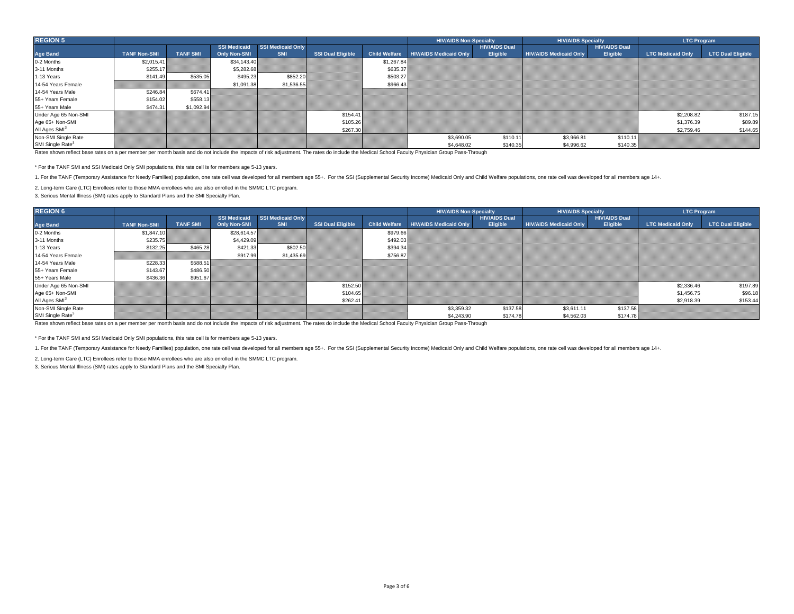| <b>REGION 5</b>              |                     |                 |                     |                   |                          |                      | <b>HIV/AIDS Non-Specialty</b> |                      | <b>HIV/AIDS Specialty</b>     |                      | <b>LTC Program</b>       |                          |
|------------------------------|---------------------|-----------------|---------------------|-------------------|--------------------------|----------------------|-------------------------------|----------------------|-------------------------------|----------------------|--------------------------|--------------------------|
|                              |                     |                 | <b>SSI Medicaid</b> | SSI Medicaid Only |                          |                      |                               | <b>HIV/AIDS Dual</b> |                               | <b>HIV/AIDS Dual</b> |                          |                          |
| <b>Age Band</b>              | <b>TANF Non-SMI</b> | <b>TANF SMI</b> | Only Non-SMI        | SMI               | <b>SSI Dual Eligible</b> | <b>Child Welfare</b> | <b>HIV/AIDS Medicaid Only</b> | Eligible             | <b>HIV/AIDS Medicaid Only</b> | <b>Eligible</b>      | <b>LTC Medicaid Only</b> | <b>LTC Dual Eligible</b> |
| 0-2 Months                   | \$2,015.41          |                 | \$34,143.40         |                   |                          | \$1,267.84           |                               |                      |                               |                      |                          |                          |
| 3-11 Months                  | \$255.17            |                 | \$5,282.68          |                   |                          | \$635.37             |                               |                      |                               |                      |                          |                          |
| 1-13 Years                   | \$141.49            | \$535.05        | \$495.23            | \$852.20          |                          | \$503.27             |                               |                      |                               |                      |                          |                          |
| 14-54 Years Female           |                     |                 | \$1,091.38          | \$1,536.55        |                          | \$966.43             |                               |                      |                               |                      |                          |                          |
| 14-54 Years Male             | \$246.84            | \$674.41        |                     |                   |                          |                      |                               |                      |                               |                      |                          |                          |
| 55+ Years Female             | \$154.02            | \$558.13        |                     |                   |                          |                      |                               |                      |                               |                      |                          |                          |
| 55+ Years Male               | \$474.31            | \$1,092.94      |                     |                   |                          |                      |                               |                      |                               |                      |                          |                          |
| Under Age 65 Non-SMI         |                     |                 |                     |                   | \$154.41                 |                      |                               |                      |                               |                      | \$2,208.82               | \$187.15                 |
| Age 65+ Non-SMI              |                     |                 |                     |                   | \$105.26                 |                      |                               |                      |                               |                      | \$1,376.39               | \$89.89                  |
| All Ages SMI <sup>3</sup>    |                     |                 |                     |                   | \$267.30                 |                      |                               |                      |                               |                      | \$2,759.46               | \$144.65                 |
| Non-SMI Single Rate          |                     |                 |                     |                   |                          |                      | \$3,690.05                    | \$110.11             | \$3,966.81                    | \$110.11             |                          |                          |
| SMI Single Rate <sup>3</sup> |                     |                 |                     |                   |                          |                      | \$4,648.02                    | \$140.35             | \$4,996.62                    | \$140.35             |                          |                          |

\* For the TANF SMI and SSI Medicaid Only SMI populations, this rate cell is for members age 5-13 years.

1. For the TANF (Temporary Assistance for Needy Families) population, one rate cell was developed for all members age 55+. For the SSI (Supplemental Security Income) Medicaid Only and Child Welfare populations, one rate ce

2. Long-term Care (LTC) Enrollees refer to those MMA enrollees who are also enrolled in the SMMC LTC program.

3. Serious Mental Illness (SMI) rates apply to Standard Plans and the SMI Specialty Plan.

| <b>REGION 6</b>              |                     |                 |                     |                   |                          | <b>HIV/AIDS Non-Specialty</b> |                               | <b>HIV/AIDS Specialty</b> |                               | <b>LTC Program</b>   |                          |                          |
|------------------------------|---------------------|-----------------|---------------------|-------------------|--------------------------|-------------------------------|-------------------------------|---------------------------|-------------------------------|----------------------|--------------------------|--------------------------|
|                              |                     |                 | <b>SSI Medicaid</b> | SSI Medicaid Only |                          |                               |                               | <b>HIV/AIDS Dual</b>      |                               | <b>HIV/AIDS Dual</b> |                          |                          |
| <b>Age Band</b>              | <b>TANF Non-SMI</b> | <b>TANF SMI</b> | Only Non-SMI        | <b>SMI</b>        | <b>SSI Dual Eligible</b> | <b>Child Welfare</b>          | <b>HIV/AIDS Medicaid Only</b> | <b>Eligible</b>           | <b>HIV/AIDS Medicaid Only</b> | <b>Eligible</b>      | <b>LTC Medicaid Only</b> | <b>LTC Dual Eligible</b> |
| 0-2 Months                   | \$1,847.10          |                 | \$28,614.57         |                   |                          | \$979.66                      |                               |                           |                               |                      |                          |                          |
| 3-11 Months                  | \$235.75            |                 | \$4,429.09          |                   |                          | \$492.03                      |                               |                           |                               |                      |                          |                          |
| 1-13 Years                   | \$132.25            | \$465.28        | \$421.33            | \$802.50          |                          | \$394.34                      |                               |                           |                               |                      |                          |                          |
| 14-54 Years Female           |                     |                 | \$917.99            | \$1,435.69        |                          | \$756.87                      |                               |                           |                               |                      |                          |                          |
| 14-54 Years Male             | \$228.33            | \$588.51        |                     |                   |                          |                               |                               |                           |                               |                      |                          |                          |
| 55+ Years Female             | \$143.67            | \$486.50        |                     |                   |                          |                               |                               |                           |                               |                      |                          |                          |
| 55+ Years Male               | \$436.36            | \$951.67        |                     |                   |                          |                               |                               |                           |                               |                      |                          |                          |
| Under Age 65 Non-SMI         |                     |                 |                     |                   | \$152.50                 |                               |                               |                           |                               |                      | \$2,336.46               | \$197.89                 |
| Age 65+ Non-SMI              |                     |                 |                     |                   | \$104.65                 |                               |                               |                           |                               |                      | \$1,456.75               | \$96.18                  |
| All Ages SMI <sup>3</sup>    |                     |                 |                     |                   | \$262.41                 |                               |                               |                           |                               |                      | \$2,918.39               | \$153.44                 |
| Non-SMI Single Rate          |                     |                 |                     |                   |                          |                               | \$3,359.32                    | \$137.58                  | \$3,611.11                    | \$137.58             |                          |                          |
| SMI Single Rate <sup>3</sup> |                     |                 |                     |                   |                          |                               | \$4,243.90                    | \$174.78                  | \$4,562.03                    | \$174.78             |                          |                          |

Rates shown reflect base rates on a per member per month basis and do not include the impacts of risk adjustment. The rates do include the Medical School Faculty Physician Group Pass-Through

\* For the TANF SMI and SSI Medicaid Only SMI populations, this rate cell is for members age 5-13 years.

1. For the TANF (Temporary Assistance for Needy Families) population, one rate cell was developed for all members age 55+. For the SSI (Supplemental Security Income) Medicaid Only and Child Welfare populations, one rate ce

2. Long-term Care (LTC) Enrollees refer to those MMA enrollees who are also enrolled in the SMMC LTC program.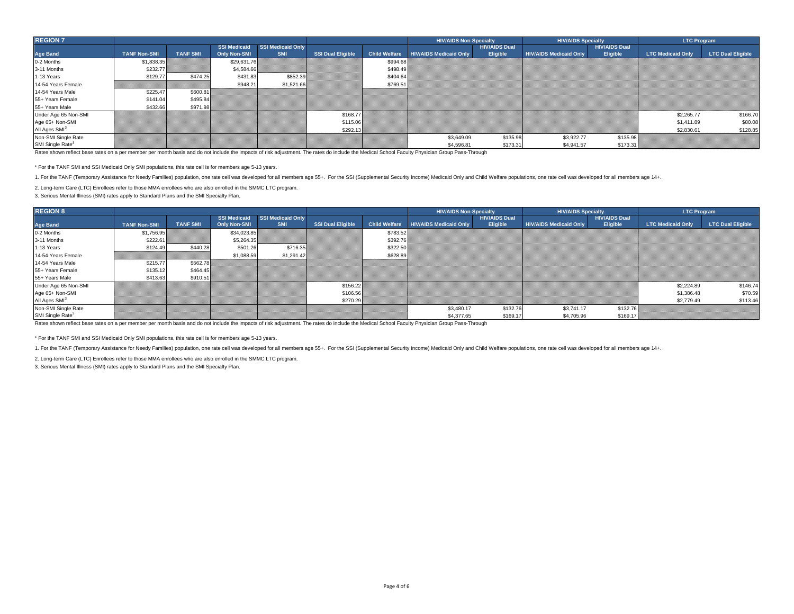| <b>REGION 7</b>              |                     |                 |                     |                   |                          |                      | <b>HIV/AIDS Non-Specialty</b> |                      | <b>HIV/AIDS Specialty</b>     |                      | <b>LTC Program</b>       |                          |
|------------------------------|---------------------|-----------------|---------------------|-------------------|--------------------------|----------------------|-------------------------------|----------------------|-------------------------------|----------------------|--------------------------|--------------------------|
|                              |                     |                 | <b>SSI Medicaid</b> | SSI Medicaid Only |                          |                      |                               | <b>HIV/AIDS Dual</b> |                               | <b>HIV/AIDS Dual</b> |                          |                          |
| <b>Age Band</b>              | <b>TANF Non-SMI</b> | <b>TANF SMI</b> | Only Non-SMI        | SMI               | <b>SSI Dual Eligible</b> | <b>Child Welfare</b> | <b>HIV/AIDS Medicaid Only</b> | Eligible             | <b>HIV/AIDS Medicaid Only</b> | <b>Eligible</b>      | <b>LTC Medicaid Only</b> | <b>LTC Dual Eligible</b> |
| 0-2 Months                   | \$1,838.35          |                 | \$29,631.76         |                   |                          | \$994.68             |                               |                      |                               |                      |                          |                          |
| 3-11 Months                  | \$232.77            |                 | \$4,584.66          |                   |                          | \$498.49             |                               |                      |                               |                      |                          |                          |
| 1-13 Years                   | \$129.77            | \$474.25        | \$431.83            | \$852.39          |                          | \$404.64             |                               |                      |                               |                      |                          |                          |
| 14-54 Years Female           |                     |                 | \$948.21            | \$1,521.66        |                          | \$769.51             |                               |                      |                               |                      |                          |                          |
| 14-54 Years Male             | \$225.47            | \$600.81        |                     |                   |                          |                      |                               |                      |                               |                      |                          |                          |
| 55+ Years Female             | \$141.04            | \$495.84        |                     |                   |                          |                      |                               |                      |                               |                      |                          |                          |
| 55+ Years Male               | \$432.66            | \$971.98        |                     |                   |                          |                      |                               |                      |                               |                      |                          |                          |
| Under Age 65 Non-SMI         |                     |                 |                     |                   | \$168.77                 |                      |                               |                      |                               |                      | \$2,265.77               | \$166.70                 |
| Age 65+ Non-SMI              |                     |                 |                     |                   | \$115.06                 |                      |                               |                      |                               |                      | \$1,411.89               | \$80.08                  |
| All Ages SMI <sup>3</sup>    |                     |                 |                     |                   | \$292.13                 |                      |                               |                      |                               |                      | \$2,830.61               | \$128.85                 |
| Non-SMI Single Rate          |                     |                 |                     |                   |                          |                      | \$3,649.09                    | \$135.98             | \$3,922.77                    | \$135.98             |                          |                          |
| SMI Single Rate <sup>3</sup> |                     |                 |                     |                   |                          |                      | \$4,596.81                    | \$173.31             | \$4,941.57                    | \$173.31             |                          |                          |

\* For the TANF SMI and SSI Medicaid Only SMI populations, this rate cell is for members age 5-13 years.

1. For the TANF (Temporary Assistance for Needy Families) population, one rate cell was developed for all members age 55+. For the SSI (Supplemental Security Income) Medicaid Only and Child Welfare populations, one rate ce

2. Long-term Care (LTC) Enrollees refer to those MMA enrollees who are also enrolled in the SMMC LTC program.

3. Serious Mental Illness (SMI) rates apply to Standard Plans and the SMI Specialty Plan.

| <b>REGION 8</b>              |                     |                 |                     |                   |                          | <b>HIV/AIDS Non-Specialty</b> |                               | <b>HIV/AIDS Specialty</b> |                               | <b>LTC Program</b>   |                          |                          |
|------------------------------|---------------------|-----------------|---------------------|-------------------|--------------------------|-------------------------------|-------------------------------|---------------------------|-------------------------------|----------------------|--------------------------|--------------------------|
|                              |                     |                 | <b>SSI Medicaid</b> | SSI Medicaid Only |                          |                               |                               | <b>HIV/AIDS Dual</b>      |                               | <b>HIV/AIDS Dual</b> |                          |                          |
| <b>Age Band</b>              | <b>TANF Non-SMI</b> | <b>TANF SMI</b> | Only Non-SMI        | <b>SMI</b>        | <b>SSI Dual Eligible</b> | <b>Child Welfare</b>          | <b>HIV/AIDS Medicaid Only</b> | <b>Eligible</b>           | <b>HIV/AIDS Medicaid Only</b> | <b>Eligible</b>      | <b>LTC Medicaid Only</b> | <b>LTC Dual Eligible</b> |
| 0-2 Months                   | \$1,756.95          |                 | \$34,023.85         |                   |                          | \$783.52                      |                               |                           |                               |                      |                          |                          |
| 3-11 Months                  | \$222.61            |                 | \$5,264.35          |                   |                          | \$392.76                      |                               |                           |                               |                      |                          |                          |
| 1-13 Years                   | \$124.49            | \$440.28        | \$501.26            | \$716.35          |                          | \$322.50                      |                               |                           |                               |                      |                          |                          |
| 14-54 Years Female           |                     |                 | \$1,088.59          | \$1,291.42        |                          | \$628.89                      |                               |                           |                               |                      |                          |                          |
| 14-54 Years Male             | \$215.77            | \$562.78        |                     |                   |                          |                               |                               |                           |                               |                      |                          |                          |
| 55+ Years Female             | \$135.12            | \$464.45        |                     |                   |                          |                               |                               |                           |                               |                      |                          |                          |
| 55+ Years Male               | \$413.63            | \$910.51        |                     |                   |                          |                               |                               |                           |                               |                      |                          |                          |
| Under Age 65 Non-SMI         |                     |                 |                     |                   | \$156.22                 |                               |                               |                           |                               |                      | \$2,224.89               | \$146.74                 |
| Age 65+ Non-SMI              |                     |                 |                     |                   | \$106.56                 |                               |                               |                           |                               |                      | \$1,386.48               | \$70.59                  |
| All Ages SMI <sup>3</sup>    |                     |                 |                     |                   | \$270.29                 |                               |                               |                           |                               |                      | \$2,779.49               | \$113.46                 |
| Non-SMI Single Rate          |                     |                 |                     |                   |                          |                               | \$3,480.17                    | \$132.76                  | \$3,741.17                    | \$132.76             |                          |                          |
| SMI Single Rate <sup>3</sup> |                     |                 |                     |                   |                          |                               | \$4,377.65                    | \$169.17                  | \$4,705.96                    | \$169.17             |                          |                          |

Rates shown reflect base rates on a per member per month basis and do not include the impacts of risk adjustment. The rates do include the Medical School Faculty Physician Group Pass-Through

\* For the TANF SMI and SSI Medicaid Only SMI populations, this rate cell is for members age 5-13 years.

1. For the TANF (Temporary Assistance for Needy Families) population, one rate cell was developed for all members age 55+. For the SSI (Supplemental Security Income) Medicaid Only and Child Welfare populations, one rate ce

2. Long-term Care (LTC) Enrollees refer to those MMA enrollees who are also enrolled in the SMMC LTC program.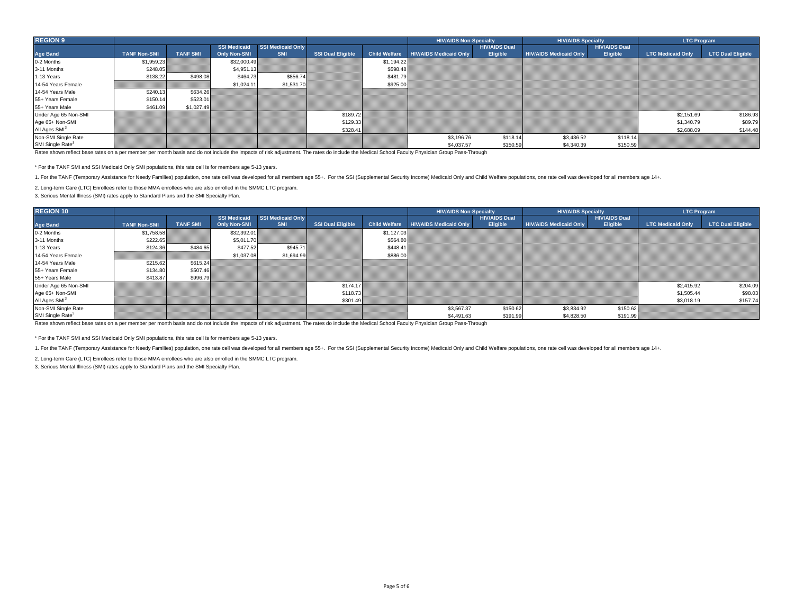| <b>REGION 9</b>              |                     |                 |                     |                   |                          |                      | <b>HIV/AIDS Non-Specialty</b> |                      | <b>HIV/AIDS Specialty</b>     |                      | <b>LTC Program</b>       |                          |
|------------------------------|---------------------|-----------------|---------------------|-------------------|--------------------------|----------------------|-------------------------------|----------------------|-------------------------------|----------------------|--------------------------|--------------------------|
|                              |                     |                 | <b>SSI Medicaid</b> | SSI Medicaid Only |                          |                      |                               | <b>HIV/AIDS Dual</b> |                               | <b>HIV/AIDS Dual</b> |                          |                          |
| <b>Age Band</b>              | <b>TANF Non-SMI</b> | <b>TANF SMI</b> | Only Non-SMI        | SMI               | <b>SSI Dual Eligible</b> | <b>Child Welfare</b> | <b>HIV/AIDS Medicaid Only</b> | Eligible             | <b>HIV/AIDS Medicaid Only</b> | <b>Eligible</b>      | <b>LTC Medicaid Only</b> | <b>LTC Dual Eligible</b> |
| 0-2 Months                   | \$1,959.23          |                 | \$32,000.49         |                   |                          | \$1,194.22           |                               |                      |                               |                      |                          |                          |
| 3-11 Months                  | \$248.05            |                 | \$4,951.13          |                   |                          | \$598.48             |                               |                      |                               |                      |                          |                          |
| 1-13 Years                   | \$138.22            | \$498.08        | \$464.73            | \$856.74          |                          | \$481.79             |                               |                      |                               |                      |                          |                          |
| 14-54 Years Female           |                     |                 | \$1.024.11          | \$1,531.70        |                          | \$925.00             |                               |                      |                               |                      |                          |                          |
| 14-54 Years Male             | \$240.13            | \$634.26        |                     |                   |                          |                      |                               |                      |                               |                      |                          |                          |
| 55+ Years Female             | \$150.14            | \$523.01        |                     |                   |                          |                      |                               |                      |                               |                      |                          |                          |
| 55+ Years Male               | \$461.09            | \$1,027.49      |                     |                   |                          |                      |                               |                      |                               |                      |                          |                          |
| Under Age 65 Non-SMI         |                     |                 |                     |                   | \$189.72                 |                      |                               |                      |                               |                      | \$2,151.69               | \$186.93                 |
| Age 65+ Non-SMI              |                     |                 |                     |                   | \$129.33                 |                      |                               |                      |                               |                      | \$1,340.79               | \$89.79                  |
| All Ages SMI <sup>3</sup>    |                     |                 |                     |                   | \$328.41                 |                      |                               |                      |                               |                      | \$2,688.09               | \$144.48                 |
| Non-SMI Single Rate          |                     |                 |                     |                   |                          |                      | \$3,196.76                    | \$118.14             | \$3,436.52                    | \$118.14             |                          |                          |
| SMI Single Rate <sup>3</sup> |                     |                 |                     |                   |                          |                      | \$4,037.57                    | \$150.59             | \$4,340.39                    | \$150.59             |                          |                          |

\* For the TANF SMI and SSI Medicaid Only SMI populations, this rate cell is for members age 5-13 years.

1. For the TANF (Temporary Assistance for Needy Families) population, one rate cell was developed for all members age 55+. For the SSI (Supplemental Security Income) Medicaid Only and Child Welfare populations, one rate ce

2. Long-term Care (LTC) Enrollees refer to those MMA enrollees who are also enrolled in the SMMC LTC program.

3. Serious Mental Illness (SMI) rates apply to Standard Plans and the SMI Specialty Plan.

| <b>REGION 10</b>             |                     |                 |                                     |                                        | <b>HIV/AIDS Non-Specialty</b> |                      | <b>HIV/AIDS Specialty</b>     |                                  | <b>LTC Program</b>            |                                         |                          |                          |
|------------------------------|---------------------|-----------------|-------------------------------------|----------------------------------------|-------------------------------|----------------------|-------------------------------|----------------------------------|-------------------------------|-----------------------------------------|--------------------------|--------------------------|
| <b>Age Band</b>              | <b>TANF Non-SMI</b> | <b>TANF SMI</b> | <b>SSI Medicaid</b><br>Only Non-SMI | <b>SSI Medicaid Only</b><br><b>SMI</b> | <b>SSI Dual Eligible</b>      | <b>Child Welfare</b> | <b>HIV/AIDS Medicaid Only</b> | <b>HIV/AIDS Dual</b><br>Eligible | <b>HIV/AIDS Medicaid Only</b> | <b>HIV/AIDS Dual</b><br><b>Eligible</b> | <b>LTC Medicaid Only</b> | <b>LTC Dual Eligible</b> |
| 0-2 Months                   | \$1,758.58          |                 | \$32,392.01                         |                                        |                               | \$1,127.03           |                               |                                  |                               |                                         |                          |                          |
| 3-11 Months                  | \$222.65            |                 | \$5,011.70                          |                                        |                               | \$564.80             |                               |                                  |                               |                                         |                          |                          |
| 1-13 Years                   | \$124.36            | \$484.65        | \$477.52                            | \$945.71                               |                               | \$448.41             |                               |                                  |                               |                                         |                          |                          |
| 14-54 Years Female           |                     |                 | \$1,037.08                          | \$1,694.99                             |                               | \$886.00             |                               |                                  |                               |                                         |                          |                          |
| 14-54 Years Male             | \$215.62            | \$615.24        |                                     |                                        |                               |                      |                               |                                  |                               |                                         |                          |                          |
| 55+ Years Female             | \$134.80            | \$507.46        |                                     |                                        |                               |                      |                               |                                  |                               |                                         |                          |                          |
| 55+ Years Male               | \$413.87            | \$996.79        |                                     |                                        |                               |                      |                               |                                  |                               |                                         |                          |                          |
| Under Age 65 Non-SMI         |                     |                 |                                     |                                        | \$174.17                      |                      |                               |                                  |                               |                                         | \$2,415.92               | \$204.09                 |
| Age 65+ Non-SMI              |                     |                 |                                     |                                        | \$118.73                      |                      |                               |                                  |                               |                                         | \$1,505.44               | \$98.03                  |
| All Ages SMI <sup>3</sup>    |                     |                 |                                     |                                        | \$301.49                      |                      |                               |                                  |                               |                                         | \$3,018.19               | \$157.74                 |
| Non-SMI Single Rate          |                     |                 |                                     |                                        |                               |                      | \$3,567.37                    | \$150.62                         | \$3,834.92                    | \$150.62                                |                          |                          |
| SMI Single Rate <sup>3</sup> |                     |                 |                                     |                                        |                               |                      | \$4,491.63                    | \$191.99                         | \$4,828.50                    | \$191.99                                |                          |                          |

Rates shown reflect base rates on a per member per month basis and do not include the impacts of risk adjustment. The rates do include the Medical School Faculty Physician Group Pass-Through

\* For the TANF SMI and SSI Medicaid Only SMI populations, this rate cell is for members age 5-13 years.

1. For the TANF (Temporary Assistance for Needy Families) population, one rate cell was developed for all members age 55+. For the SSI (Supplemental Security Income) Medicaid Only and Child Welfare populations, one rate ce

2. Long-term Care (LTC) Enrollees refer to those MMA enrollees who are also enrolled in the SMMC LTC program.